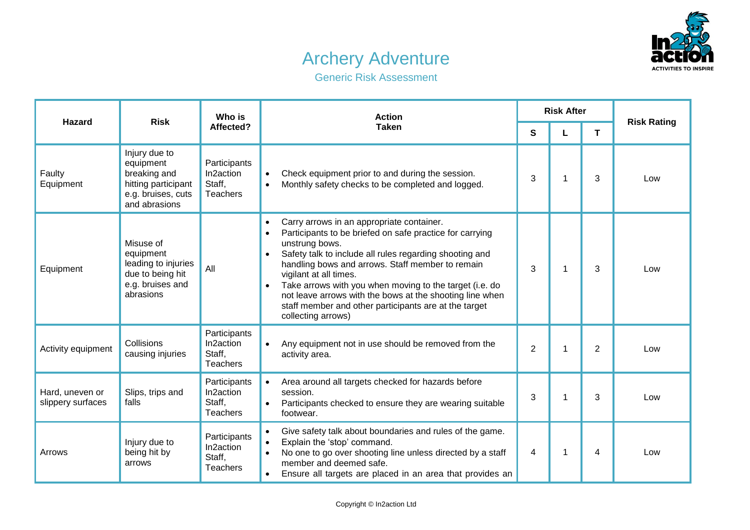## Archery Adventure



Generic Risk Assessment

| <b>Hazard</b>                        | <b>Risk</b>                                                                                              | Who is<br>Affected?                                    | <b>Action</b><br><b>Taken</b>                                                                                                                                                                                                                                                                                                                                                                                                                                                                                              | <b>Risk After</b> |   |    |                    |
|--------------------------------------|----------------------------------------------------------------------------------------------------------|--------------------------------------------------------|----------------------------------------------------------------------------------------------------------------------------------------------------------------------------------------------------------------------------------------------------------------------------------------------------------------------------------------------------------------------------------------------------------------------------------------------------------------------------------------------------------------------------|-------------------|---|----|--------------------|
|                                      |                                                                                                          |                                                        |                                                                                                                                                                                                                                                                                                                                                                                                                                                                                                                            | S                 |   | T. | <b>Risk Rating</b> |
| Faulty<br>Equipment                  | Injury due to<br>equipment<br>breaking and<br>hitting participant<br>e.g. bruises, cuts<br>and abrasions | Participants<br>In2action<br>Staff,<br><b>Teachers</b> | Check equipment prior to and during the session.<br>$\bullet$<br>Monthly safety checks to be completed and logged.<br>$\bullet$                                                                                                                                                                                                                                                                                                                                                                                            | 3                 | 1 | 3  | Low                |
| Equipment                            | Misuse of<br>equipment<br>leading to injuries<br>due to being hit<br>e.g. bruises and<br>abrasions       | All                                                    | Carry arrows in an appropriate container.<br>$\bullet$<br>Participants to be briefed on safe practice for carrying<br>$\bullet$<br>unstrung bows.<br>Safety talk to include all rules regarding shooting and<br>$\bullet$<br>handling bows and arrows. Staff member to remain<br>vigilant at all times.<br>Take arrows with you when moving to the target (i.e. do<br>$\bullet$<br>not leave arrows with the bows at the shooting line when<br>staff member and other participants are at the target<br>collecting arrows) | 3                 | 1 | 3  | Low                |
| Activity equipment                   | Collisions<br>causing injuries                                                                           | Participants<br>In2action<br>Staff,<br><b>Teachers</b> | Any equipment not in use should be removed from the<br>$\bullet$<br>activity area.                                                                                                                                                                                                                                                                                                                                                                                                                                         | $\overline{2}$    | 1 | 2  | Low                |
| Hard, uneven or<br>slippery surfaces | Slips, trips and<br>falls                                                                                | Participants<br>In2action<br>Staff,<br><b>Teachers</b> | Area around all targets checked for hazards before<br>$\bullet$<br>session.<br>Participants checked to ensure they are wearing suitable<br>$\bullet$<br>footwear.                                                                                                                                                                                                                                                                                                                                                          | 3                 | 1 | 3  | Low                |
| Arrows                               | Injury due to<br>being hit by<br>arrows                                                                  | Participants<br>In2action<br>Staff,<br><b>Teachers</b> | Give safety talk about boundaries and rules of the game.<br>$\bullet$<br>Explain the 'stop' command.<br>$\bullet$<br>No one to go over shooting line unless directed by a staff<br>$\bullet$<br>member and deemed safe.<br>Ensure all targets are placed in an area that provides an<br>$\bullet$                                                                                                                                                                                                                          | 4                 | 1 | 4  | Low                |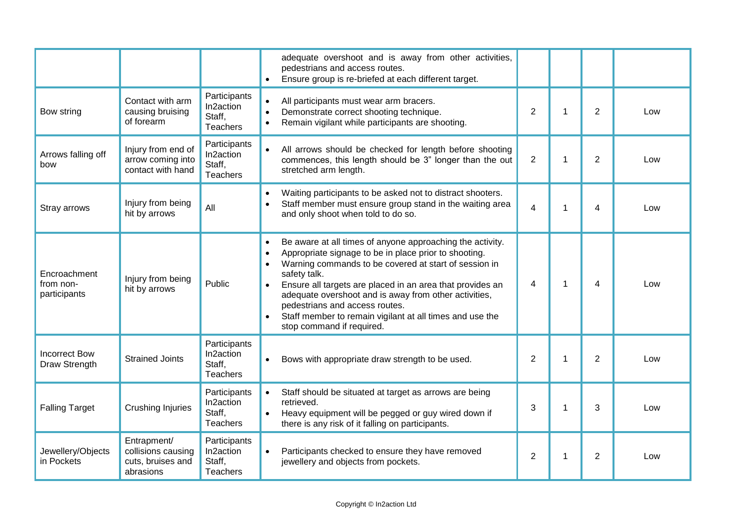|                                           |                                                                     |                                                        | adequate overshoot and is away from other activities,<br>pedestrians and access routes.                                                                                                                                                                                                                                                                                                                                                                                                          |                |   |                |     |
|-------------------------------------------|---------------------------------------------------------------------|--------------------------------------------------------|--------------------------------------------------------------------------------------------------------------------------------------------------------------------------------------------------------------------------------------------------------------------------------------------------------------------------------------------------------------------------------------------------------------------------------------------------------------------------------------------------|----------------|---|----------------|-----|
|                                           |                                                                     |                                                        | Ensure group is re-briefed at each different target.<br>$\bullet$                                                                                                                                                                                                                                                                                                                                                                                                                                |                |   |                |     |
| Bow string                                | Contact with arm<br>causing bruising<br>of forearm                  | Participants<br>In2action<br>Staff,<br><b>Teachers</b> | All participants must wear arm bracers.<br>$\bullet$<br>Demonstrate correct shooting technique.<br>$\bullet$<br>Remain vigilant while participants are shooting.<br>$\bullet$                                                                                                                                                                                                                                                                                                                    | $\overline{2}$ | 1 | $\overline{2}$ | Low |
| Arrows falling off<br>bow                 | Injury from end of<br>arrow coming into<br>contact with hand        | Participants<br>In2action<br>Staff,<br><b>Teachers</b> | $\bullet$<br>All arrows should be checked for length before shooting<br>commences, this length should be 3" longer than the out<br>stretched arm length.                                                                                                                                                                                                                                                                                                                                         | $\overline{2}$ | 1 | $\overline{2}$ | Low |
| Stray arrows                              | Injury from being<br>hit by arrows                                  | All                                                    | Waiting participants to be asked not to distract shooters.<br>$\bullet$<br>Staff member must ensure group stand in the waiting area<br>and only shoot when told to do so.                                                                                                                                                                                                                                                                                                                        | $\overline{4}$ | 1 | 4              | Low |
| Encroachment<br>from non-<br>participants | Injury from being<br>hit by arrows                                  | Public                                                 | Be aware at all times of anyone approaching the activity.<br>$\bullet$<br>Appropriate signage to be in place prior to shooting.<br>$\bullet$<br>Warning commands to be covered at start of session in<br>$\bullet$<br>safety talk.<br>Ensure all targets are placed in an area that provides an<br>adequate overshoot and is away from other activities,<br>pedestrians and access routes.<br>Staff member to remain vigilant at all times and use the<br>$\bullet$<br>stop command if required. | $\overline{4}$ | 1 | 4              | Low |
| <b>Incorrect Bow</b><br>Draw Strength     | <b>Strained Joints</b>                                              | Participants<br>In2action<br>Staff,<br>Teachers        | Bows with appropriate draw strength to be used.<br>$\bullet$                                                                                                                                                                                                                                                                                                                                                                                                                                     | $\overline{2}$ | 1 | 2              | Low |
| <b>Falling Target</b>                     | <b>Crushing Injuries</b>                                            | Participants<br>In2action<br>Staff,<br>Teachers        | $\bullet$<br>Staff should be situated at target as arrows are being<br>retrieved.<br>Heavy equipment will be pegged or guy wired down if<br>$\bullet$<br>there is any risk of it falling on participants.                                                                                                                                                                                                                                                                                        | 3              | 1 | 3              | Low |
| Jewellery/Objects<br>in Pockets           | Entrapment/<br>collisions causing<br>cuts, bruises and<br>abrasions | Participants<br>In2action<br>Staff,<br>Teachers        | Participants checked to ensure they have removed<br>jewellery and objects from pockets.                                                                                                                                                                                                                                                                                                                                                                                                          | $\overline{2}$ | 1 | $\overline{2}$ | Low |